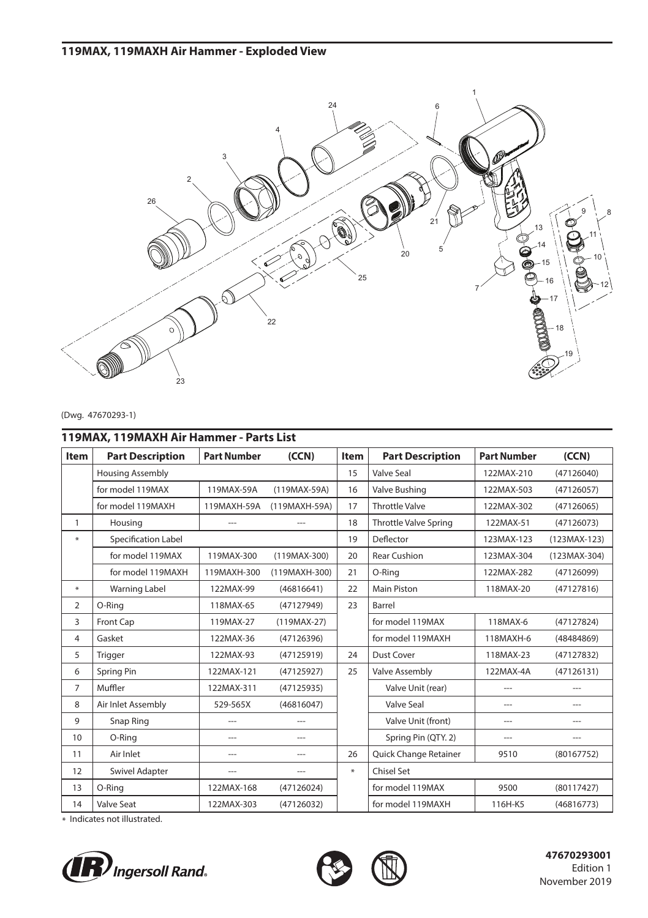# **119MAX, 119MAXH Air Hammer - Exploded View**



#### (Dwg. 47670293-1)

| 119MAX, 119MAXH Air Hammer - Parts List |                         |                    |                          |             |                              |                    |              |  |  |  |  |
|-----------------------------------------|-------------------------|--------------------|--------------------------|-------------|------------------------------|--------------------|--------------|--|--|--|--|
| <b>Item</b>                             | <b>Part Description</b> | <b>Part Number</b> | (CCN)                    | <b>Item</b> | <b>Part Description</b>      | <b>Part Number</b> | (CCN)        |  |  |  |  |
|                                         | <b>Housing Assembly</b> |                    |                          | 15          | Valve Seal                   | 122MAX-210         | (47126040)   |  |  |  |  |
|                                         | for model 119MAX        | 119MAX-59A         | (119MAX-59A)             | 16          | Valve Bushing                | 122MAX-503         | (47126057)   |  |  |  |  |
|                                         | for model 119MAXH       | 119MAXH-59A        | (119MAXH-59A)            | 17          | <b>Throttle Valve</b>        | 122MAX-302         | (47126065)   |  |  |  |  |
| $\mathbf{1}$                            | Housing                 |                    |                          | 18          | <b>Throttle Valve Spring</b> | 122MAX-51          | (47126073)   |  |  |  |  |
| ₩                                       | Specification Label     |                    |                          | 19          | Deflector                    | 123MAX-123         | (123MAX-123) |  |  |  |  |
|                                         | for model 119MAX        | 119MAX-300         | $(119MAX-300)$           | 20          | <b>Rear Cushion</b>          | 123MAX-304         | (123MAX-304) |  |  |  |  |
|                                         | for model 119MAXH       | 119MAXH-300        | (119MAXH-300)            | 21          | O-Rina                       | 122MAX-282         | (47126099)   |  |  |  |  |
| $\ast$                                  | <b>Warning Label</b>    | 122MAX-99          | (46816641)               | 22          | Main Piston                  | 118MAX-20          | (47127816)   |  |  |  |  |
| $\overline{2}$                          | O-Ring                  | 118MAX-65          | (47127949)               | 23          | Barrel                       |                    |              |  |  |  |  |
| 3                                       | Front Cap               | 119MAX-27          | $(119MAX-27)$            |             | for model 119MAX             | 118MAX-6           | (47127824)   |  |  |  |  |
| $\overline{4}$                          | Gasket                  | 122MAX-36          | (47126396)               |             | for model 119MAXH            | 118MAXH-6          | (48484869)   |  |  |  |  |
| 5                                       | Trigger                 | 122MAX-93          | (47125919)               | 24          | Dust Cover                   | 118MAX-23          | (47127832)   |  |  |  |  |
| 6                                       | Spring Pin              | 122MAX-121         | (47125927)               | 25          | Valve Assembly               | 122MAX-4A          | (47126131)   |  |  |  |  |
| $\overline{7}$                          | Muffler                 | 122MAX-311         | (47125935)               |             | Valve Unit (rear)            | ---                |              |  |  |  |  |
| 8                                       | Air Inlet Assembly      | 529-565X           | (46816047)               |             | Valve Seal                   | ---                | ---          |  |  |  |  |
| 9                                       | Snap Ring               | $\overline{a}$     | ---                      |             | Valve Unit (front)           | $\overline{a}$     | ---          |  |  |  |  |
| 10                                      | O-Ring                  | ---                | $---$                    |             | Spring Pin (QTY, 2)          | ---                | ---          |  |  |  |  |
| 11                                      | Air Inlet               | ---                | $---$                    | 26          | Quick Change Retainer        | 9510               | (80167752)   |  |  |  |  |
| 12                                      | <b>Swivel Adapter</b>   | ---                | $\overline{\phantom{a}}$ | $\ast$      | Chisel Set                   |                    |              |  |  |  |  |
| 13                                      | O-Ring                  | 122MAX-168         | (47126024)               |             | for model 119MAX             | 9500               | (80117427)   |  |  |  |  |
| 14                                      | Valve Seat              | 122MAX-303         | (47126032)               |             | for model 119MAXH            | 116H-K5            | (46816773)   |  |  |  |  |

\* Indicates not illustrated.





 **47670293001** Edition 1 November 2019